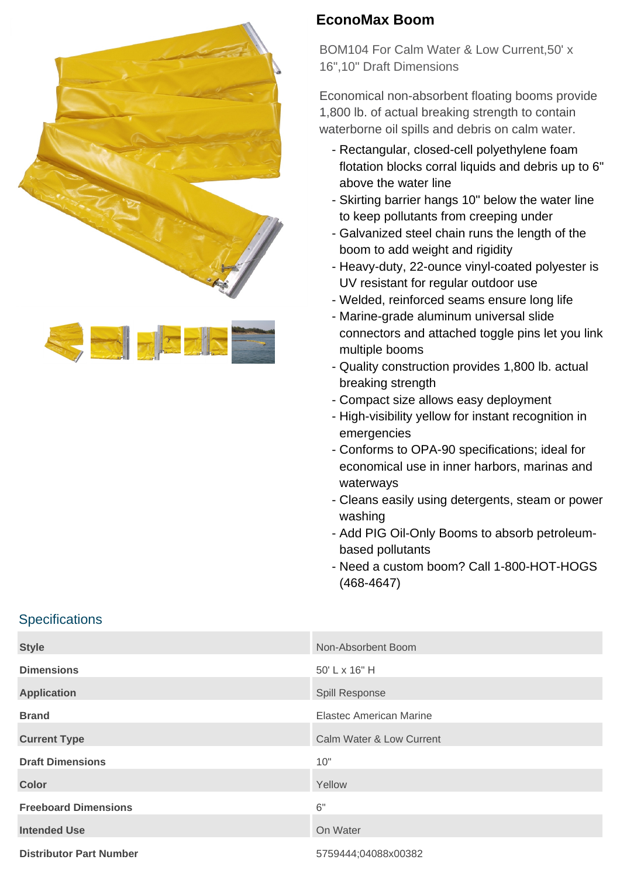



## **EconoMax Boom**

BOM104 For Calm Water & Low Current,50' x 16",10" Draft Dimensions

Economical non-absorbent floating booms provide 1,800 lb. of actual breaking strength to contain waterborne oil spills and debris on calm water.

- Rectangular, closed-cell polyethylene foam flotation blocks corral liquids and debris up to 6" above the water line
- Skirting barrier hangs 10" below the water line to keep pollutants from creeping under
- Galvanized steel chain runs the length of the boom to add weight and rigidity
- Heavy-duty, 22-ounce vinyl-coated polyester is UV resistant for regular outdoor use
- Welded, reinforced seams ensure long life
- Marine-grade aluminum universal slide connectors and attached toggle pins let you link multiple booms
- Quality construction provides 1,800 lb. actual breaking strength
- Compact size allows easy deployment
- High-visibility yellow for instant recognition in emergencies
- Conforms to OPA-90 specifications; ideal for economical use in inner harbors, marinas and waterways
- Cleans easily using detergents, steam or power washing
- Add PIG Oil-Only Booms to absorb petroleum- based pollutants
- Need a custom boom? Call 1-800-HOT-HOGS (468-4647)

## **Specifications**

| <b>Style</b>                   | Non-Absorbent Boom       |
|--------------------------------|--------------------------|
| <b>Dimensions</b>              | 50' L x 16" H            |
| <b>Application</b>             | Spill Response           |
| <b>Brand</b>                   | Elastec American Marine  |
| <b>Current Type</b>            | Calm Water & Low Current |
| <b>Draft Dimensions</b>        | 10"                      |
| <b>Color</b>                   | Yellow                   |
| <b>Freeboard Dimensions</b>    | 6"                       |
| <b>Intended Use</b>            | On Water                 |
| <b>Distributor Part Number</b> | 5759444;04088x00382      |